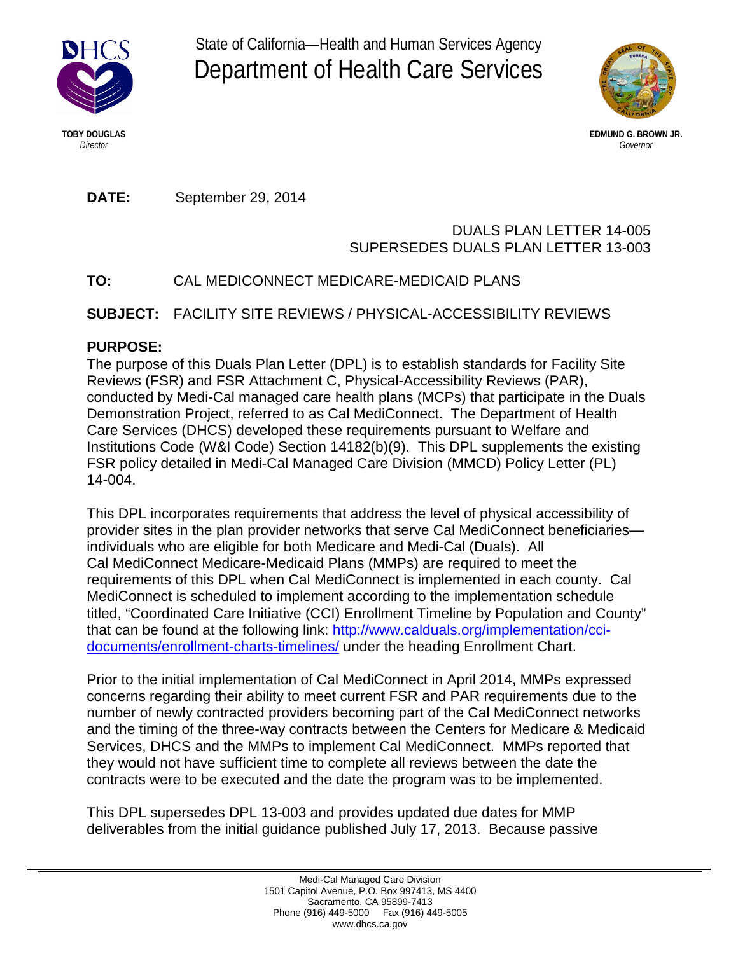

State of California—Health and Human Services Agency Department of Health Care Services



**TOBY DOUGLAS EDMUND G. BROWN JR.** *Director Governor*

**DATE:** September 29, 2014

## DUALS PLAN LETTER 14-005 SUPERSEDES DUALS PLAN LETTER 13-003

# **TO:** CAL MEDICONNECT MEDICARE-MEDICAID PLANS

**SUBJECT:** FACILITY SITE REVIEWS / PHYSICAL-ACCESSIBILITY REVIEWS

## **PURPOSE:**

The purpose of this Duals Plan Letter (DPL) is to establish standards for Facility Site Reviews (FSR) and FSR Attachment C, Physical-Accessibility Reviews (PAR), conducted by Medi-Cal managed care health plans (MCPs) that participate in the Duals Demonstration Project, referred to as Cal MediConnect. The Department of Health Care Services (DHCS) developed these requirements pursuant to Welfare and Institutions Code (W&I Code) Section 14182(b)(9). This DPL supplements the existing FSR policy detailed in Medi-Cal Managed Care Division (MMCD) Policy Letter (PL) 14-004.

This DPL incorporates requirements that address the level of physical accessibility of provider sites in the plan provider networks that serve Cal MediConnect beneficiaries individuals who are eligible for both Medicare and Medi-Cal (Duals). All Cal MediConnect Medicare-Medicaid Plans (MMPs) are required to meet the requirements of this DPL when Cal MediConnect is implemented in each county. Cal MediConnect is scheduled to implement according to the implementation schedule titled, "Coordinated Care Initiative (CCI) Enrollment Timeline by Population and County" that can be found at the following link: [http://www.calduals.org/implementation/cci](http://www.calduals.org/implementation/cci-documents/enrollment-charts-timelines/)[documents/enrollment-charts-timelines/](http://www.calduals.org/implementation/cci-documents/enrollment-charts-timelines/) under the heading Enrollment Chart.

Prior to the initial implementation of Cal MediConnect in April 2014, MMPs expressed concerns regarding their ability to meet current FSR and PAR requirements due to the number of newly contracted providers becoming part of the Cal MediConnect networks and the timing of the three-way contracts between the Centers for Medicare & Medicaid Services, DHCS and the MMPs to implement Cal MediConnect. MMPs reported that they would not have sufficient time to complete all reviews between the date the contracts were to be executed and the date the program was to be implemented.

This DPL supersedes DPL 13-003 and provides updated due dates for MMP deliverables from the initial guidance published July 17, 2013. Because passive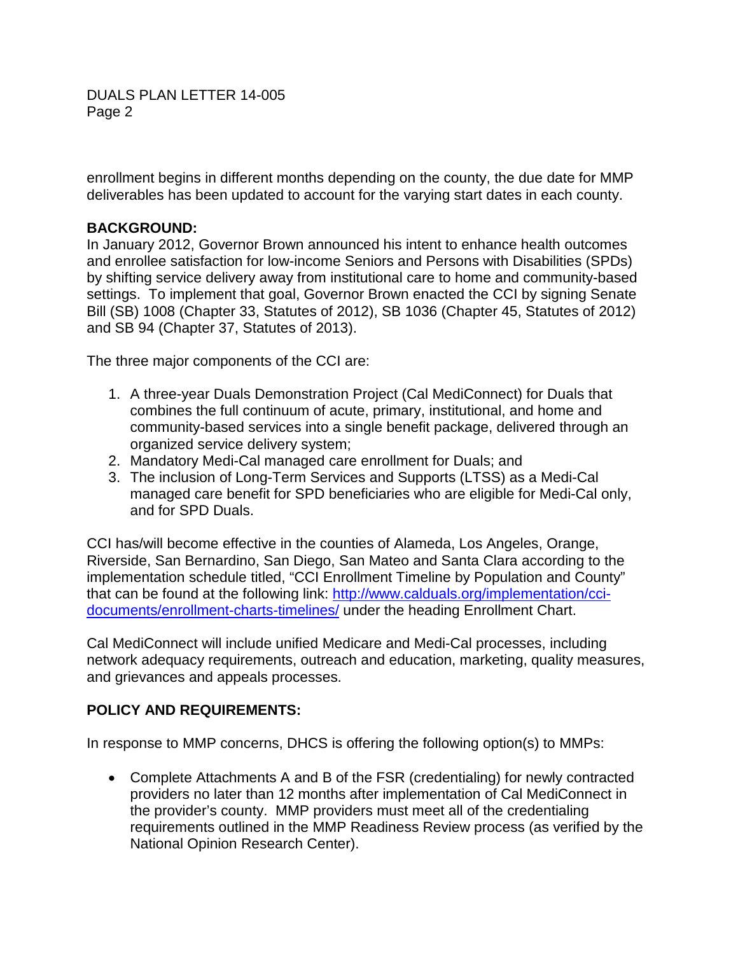DUALS PLAN LETTER 14-005 Page 2

enrollment begins in different months depending on the county, the due date for MMP deliverables has been updated to account for the varying start dates in each county.

#### **BACKGROUND:**

In January 2012, Governor Brown announced his intent to enhance health outcomes and enrollee satisfaction for low-income Seniors and Persons with Disabilities (SPDs) by shifting service delivery away from institutional care to home and community-based settings. To implement that goal, Governor Brown enacted the CCI by signing Senate Bill (SB) 1008 (Chapter 33, Statutes of 2012), SB 1036 (Chapter 45, Statutes of 2012) and SB 94 (Chapter 37, Statutes of 2013).

The three major components of the CCI are:

- 1. A three-year Duals Demonstration Project (Cal MediConnect) for Duals that combines the full continuum of acute, primary, institutional, and home and community-based services into a single benefit package, delivered through an organized service delivery system;
- 2. Mandatory Medi-Cal managed care enrollment for Duals; and
- 3. The inclusion of Long-Term Services and Supports (LTSS) as a Medi-Cal managed care benefit for SPD beneficiaries who are eligible for Medi-Cal only, and for SPD Duals.

CCI has/will become effective in the counties of Alameda, Los Angeles, Orange, Riverside, San Bernardino, San Diego, San Mateo and Santa Clara according to the implementation schedule titled, "CCI Enrollment Timeline by Population and County" that can be found at the following link: [http://www.calduals.org/implementation/cci](http://www.calduals.org/implementation/cci-documents/enrollment-charts-timelines/)[documents/enrollment-charts-timelines/](http://www.calduals.org/implementation/cci-documents/enrollment-charts-timelines/) under the heading Enrollment Chart.

Cal MediConnect will include unified Medicare and Medi-Cal processes, including network adequacy requirements, outreach and education, marketing, quality measures, and grievances and appeals processes.

## **POLICY AND REQUIREMENTS:**

In response to MMP concerns, DHCS is offering the following option(s) to MMPs:

• Complete Attachments A and B of the FSR (credentialing) for newly contracted providers no later than 12 months after implementation of Cal MediConnect in the provider's county. MMP providers must meet all of the credentialing requirements outlined in the MMP Readiness Review process (as verified by the National Opinion Research Center).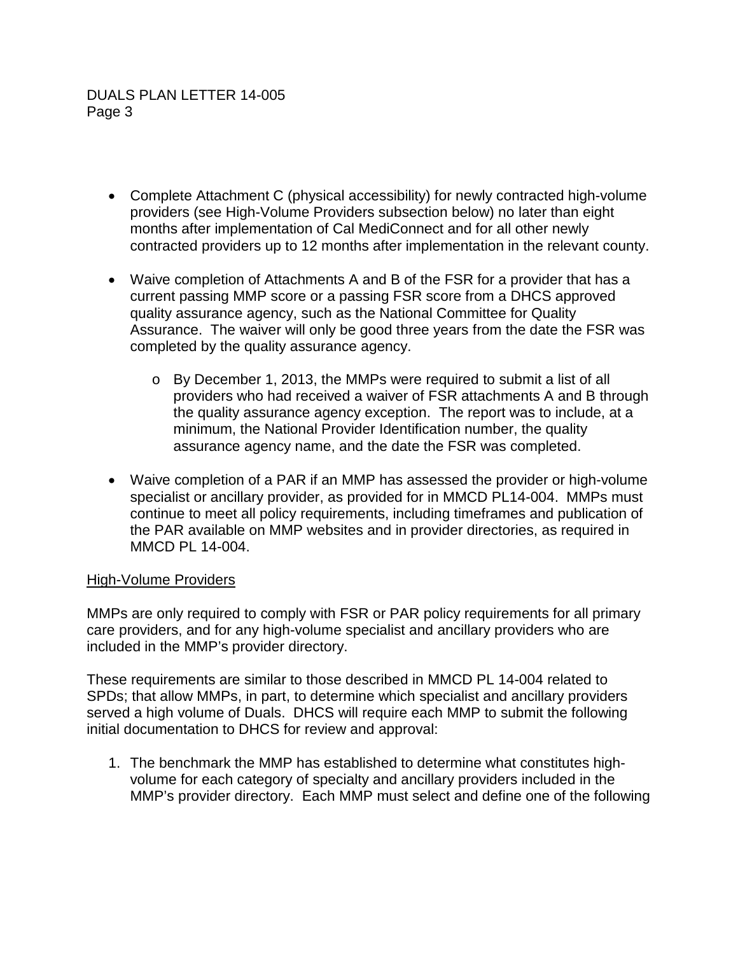- Complete Attachment C (physical accessibility) for newly contracted high-volume providers (see High-Volume Providers subsection below) no later than eight months after implementation of Cal MediConnect and for all other newly contracted providers up to 12 months after implementation in the relevant county.
- Waive completion of Attachments A and B of the FSR for a provider that has a current passing MMP score or a passing FSR score from a DHCS approved quality assurance agency, such as the National Committee for Quality Assurance. The waiver will only be good three years from the date the FSR was completed by the quality assurance agency.
	- o By December 1, 2013, the MMPs were required to submit a list of all providers who had received a waiver of FSR attachments A and B through the quality assurance agency exception. The report was to include, at a minimum, the National Provider Identification number, the quality assurance agency name, and the date the FSR was completed.
- Waive completion of a PAR if an MMP has assessed the provider or high-volume specialist or ancillary provider, as provided for in MMCD PL14-004. MMPs must continue to meet all policy requirements, including timeframes and publication of the PAR available on MMP websites and in provider directories, as required in MMCD PL 14-004.

## High-Volume Providers

MMPs are only required to comply with FSR or PAR policy requirements for all primary care providers, and for any high-volume specialist and ancillary providers who are included in the MMP's provider directory.

These requirements are similar to those described in MMCD PL 14-004 related to SPDs; that allow MMPs, in part, to determine which specialist and ancillary providers served a high volume of Duals. DHCS will require each MMP to submit the following initial documentation to DHCS for review and approval:

1. The benchmark the MMP has established to determine what constitutes highvolume for each category of specialty and ancillary providers included in the MMP's provider directory. Each MMP must select and define one of the following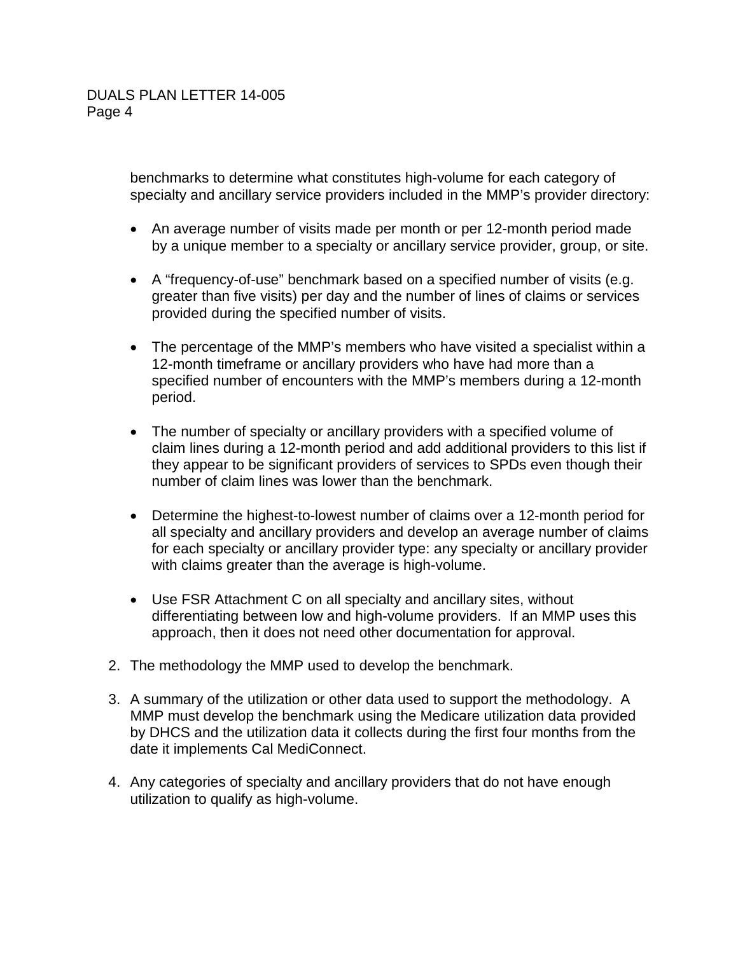benchmarks to determine what constitutes high-volume for each category of specialty and ancillary service providers included in the MMP's provider directory:

- An average number of visits made per month or per 12-month period made by a unique member to a specialty or ancillary service provider, group, or site.
- A "frequency-of-use" benchmark based on a specified number of visits (e.g. greater than five visits) per day and the number of lines of claims or services provided during the specified number of visits.
- The percentage of the MMP's members who have visited a specialist within a 12-month timeframe or ancillary providers who have had more than a specified number of encounters with the MMP's members during a 12-month period.
- The number of specialty or ancillary providers with a specified volume of claim lines during a 12-month period and add additional providers to this list if they appear to be significant providers of services to SPDs even though their number of claim lines was lower than the benchmark.
- Determine the highest-to-lowest number of claims over a 12-month period for all specialty and ancillary providers and develop an average number of claims for each specialty or ancillary provider type: any specialty or ancillary provider with claims greater than the average is high-volume.
- Use FSR Attachment C on all specialty and ancillary sites, without differentiating between low and high-volume providers. If an MMP uses this approach, then it does not need other documentation for approval.
- 2. The methodology the MMP used to develop the benchmark.
- 3. A summary of the utilization or other data used to support the methodology. A MMP must develop the benchmark using the Medicare utilization data provided by DHCS and the utilization data it collects during the first four months from the date it implements Cal MediConnect.
- 4. Any categories of specialty and ancillary providers that do not have enough utilization to qualify as high-volume.